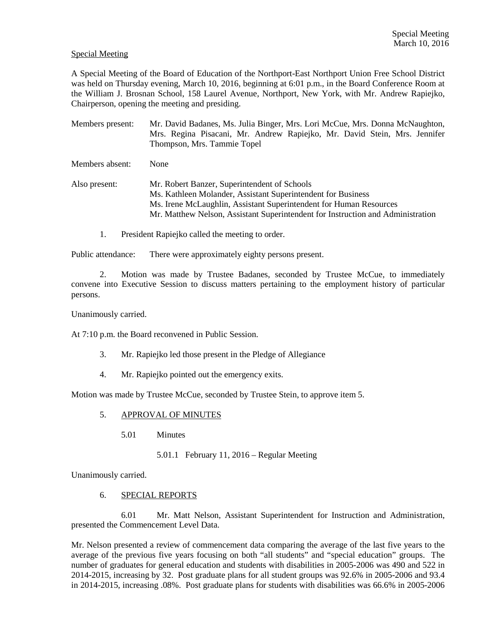## Special Meeting

A Special Meeting of the Board of Education of the Northport-East Northport Union Free School District was held on Thursday evening, March 10, 2016, beginning at 6:01 p.m., in the Board Conference Room at the William J. Brosnan School, 158 Laurel Avenue, Northport, New York, with Mr. Andrew Rapiejko, Chairperson, opening the meeting and presiding.

Members present: Mr. David Badanes, Ms. Julia Binger, Mrs. Lori McCue, Mrs. Donna McNaughton, Mrs. Regina Pisacani, Mr. Andrew Rapiejko, Mr. David Stein, Mrs. Jennifer Thompson, Mrs. Tammie Topel Members absent: None Also present: Mr. Robert Banzer, Superintendent of Schools Ms. Kathleen Molander, Assistant Superintendent for Business Ms. Irene McLaughlin, Assistant Superintendent for Human Resources Mr. Matthew Nelson, Assistant Superintendent for Instruction and Administration

1. President Rapiejko called the meeting to order.

Public attendance: There were approximately eighty persons present.

2. Motion was made by Trustee Badanes, seconded by Trustee McCue, to immediately convene into Executive Session to discuss matters pertaining to the employment history of particular persons.

Unanimously carried.

At 7:10 p.m. the Board reconvened in Public Session.

- 3. Mr. Rapiejko led those present in the Pledge of Allegiance
- 4. Mr. Rapiejko pointed out the emergency exits.

Motion was made by Trustee McCue, seconded by Trustee Stein, to approve item 5.

- 5. APPROVAL OF MINUTES
	- 5.01 Minutes
		- 5.01.1 February 11, 2016 Regular Meeting

Unanimously carried.

6. SPECIAL REPORTS

 6.01 Mr. Matt Nelson, Assistant Superintendent for Instruction and Administration, presented the Commencement Level Data.

Mr. Nelson presented a review of commencement data comparing the average of the last five years to the average of the previous five years focusing on both "all students" and "special education" groups. The number of graduates for general education and students with disabilities in 2005-2006 was 490 and 522 in 2014-2015, increasing by 32. Post graduate plans for all student groups was 92.6% in 2005-2006 and 93.4 in 2014-2015, increasing .08%. Post graduate plans for students with disabilities was 66.6% in 2005-2006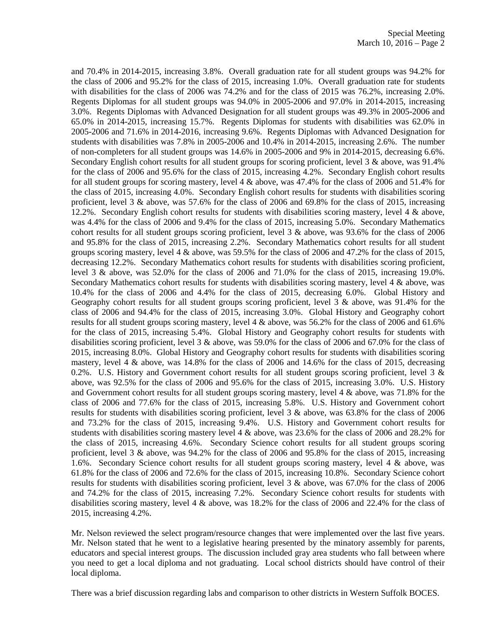and 70.4% in 2014-2015, increasing 3.8%. Overall graduation rate for all student groups was 94.2% for the class of 2006 and 95.2% for the class of 2015, increasing 1.0%. Overall graduation rate for students with disabilities for the class of 2006 was 74.2% and for the class of 2015 was 76.2%, increasing 2.0%. Regents Diplomas for all student groups was 94.0% in 2005-2006 and 97.0% in 2014-2015, increasing 3.0%. Regents Diplomas with Advanced Designation for all student groups was 49.3% in 2005-2006 and 65.0% in 2014-2015, increasing 15.7%. Regents Diplomas for students with disabilities was 62.0% in 2005-2006 and 71.6% in 2014-2016, increasing 9.6%. Regents Diplomas with Advanced Designation for students with disabilities was 7.8% in 2005-2006 and 10.4% in 2014-2015, increasing 2.6%. The number of non-completers for all student groups was 14.6% in 2005-2006 and 9% in 2014-2015, decreasing 6.6%. Secondary English cohort results for all student groups for scoring proficient, level 3 & above, was 91.4% for the class of 2006 and 95.6% for the class of 2015, increasing 4.2%. Secondary English cohort results for all student groups for scoring mastery, level 4 & above, was 47.4% for the class of 2006 and 51.4% for the class of 2015, increasing 4.0%. Secondary English cohort results for students with disabilities scoring proficient, level 3 & above, was 57.6% for the class of 2006 and 69.8% for the class of 2015, increasing 12.2%. Secondary English cohort results for students with disabilities scoring mastery, level 4 & above, was 4.4% for the class of 2006 and 9.4% for the class of 2015, increasing 5.0%. Secondary Mathematics cohort results for all student groups scoring proficient, level  $3 \&$  above, was 93.6% for the class of 2006 and 95.8% for the class of 2015, increasing 2.2%. Secondary Mathematics cohort results for all student groups scoring mastery, level 4 & above, was 59.5% for the class of 2006 and 47.2% for the class of 2015, decreasing 12.2%. Secondary Mathematics cohort results for students with disabilities scoring proficient, level 3 & above, was 52.0% for the class of 2006 and 71.0% for the class of 2015, increasing 19.0%. Secondary Mathematics cohort results for students with disabilities scoring mastery, level 4 & above, was 10.4% for the class of 2006 and 4.4% for the class of 2015, decreasing 6.0%. Global History and Geography cohort results for all student groups scoring proficient, level 3 & above, was 91.4% for the class of 2006 and 94.4% for the class of 2015, increasing 3.0%. Global History and Geography cohort results for all student groups scoring mastery, level 4 & above, was 56.2% for the class of 2006 and 61.6% for the class of 2015, increasing 5.4%. Global History and Geography cohort results for students with disabilities scoring proficient, level 3 & above, was 59.0% for the class of 2006 and 67.0% for the class of 2015, increasing 8.0%. Global History and Geography cohort results for students with disabilities scoring mastery, level 4 & above, was 14.8% for the class of 2006 and 14.6% for the class of 2015, decreasing 0.2%. U.S. History and Government cohort results for all student groups scoring proficient, level  $3 \&$ above, was 92.5% for the class of 2006 and 95.6% for the class of 2015, increasing 3.0%. U.S. History and Government cohort results for all student groups scoring mastery, level 4 & above, was 71.8% for the class of 2006 and 77.6% for the class of 2015, increasing 5.8%. U.S. History and Government cohort results for students with disabilities scoring proficient, level 3 & above, was 63.8% for the class of 2006 and 73.2% for the class of 2015, increasing 9.4%. U.S. History and Government cohort results for students with disabilities scoring mastery level 4 & above, was 23.6% for the class of 2006 and 28.2% for the class of 2015, increasing 4.6%. Secondary Science cohort results for all student groups scoring proficient, level 3 & above, was 94.2% for the class of 2006 and 95.8% for the class of 2015, increasing 1.6%. Secondary Science cohort results for all student groups scoring mastery, level 4 & above, was 61.8% for the class of 2006 and 72.6% for the class of 2015, increasing 10.8%. Secondary Science cohort results for students with disabilities scoring proficient, level 3 & above, was 67.0% for the class of 2006 and 74.2% for the class of 2015, increasing 7.2%. Secondary Science cohort results for students with disabilities scoring mastery, level 4 & above, was 18.2% for the class of 2006 and 22.4% for the class of 2015, increasing 4.2%.

Mr. Nelson reviewed the select program/resource changes that were implemented over the last five years. Mr. Nelson stated that he went to a legislative hearing presented by the minatory assembly for parents, educators and special interest groups. The discussion included gray area students who fall between where you need to get a local diploma and not graduating. Local school districts should have control of their local diploma.

There was a brief discussion regarding labs and comparison to other districts in Western Suffolk BOCES.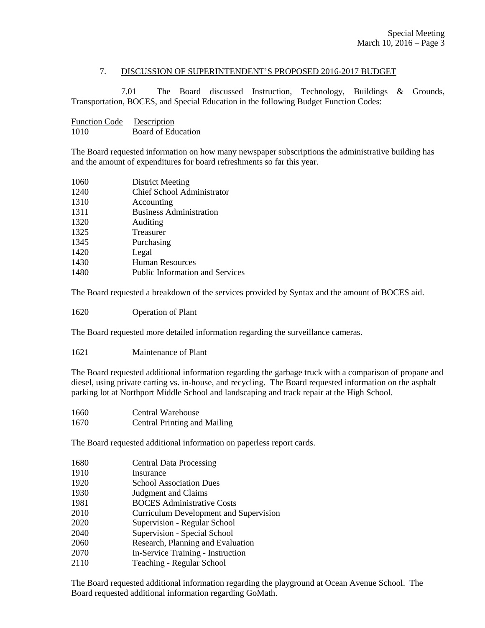## 7. DISCUSSION OF SUPERINTENDENT'S PROPOSED 2016-2017 BUDGET

 7.01 The Board discussed Instruction, Technology, Buildings & Grounds, Transportation, BOCES, and Special Education in the following Budget Function Codes:

| <b>Function Code</b> | Description        |
|----------------------|--------------------|
| 1010                 | Board of Education |

The Board requested information on how many newspaper subscriptions the administrative building has and the amount of expenditures for board refreshments so far this year.

| 1060 | <b>District Meeting</b>                |
|------|----------------------------------------|
| 1240 | <b>Chief School Administrator</b>      |
| 1310 | Accounting                             |
| 1311 | <b>Business Administration</b>         |
| 1320 | Auditing                               |
| 1325 | Treasurer                              |
| 1345 | Purchasing                             |
| 1420 | Legal                                  |
| 1430 | Human Resources                        |
| 1480 | <b>Public Information and Services</b> |
|      |                                        |

The Board requested a breakdown of the services provided by Syntax and the amount of BOCES aid.

1620 Operation of Plant

The Board requested more detailed information regarding the surveillance cameras.

1621 Maintenance of Plant

The Board requested additional information regarding the garbage truck with a comparison of propane and diesel, using private carting vs. in-house, and recycling. The Board requested information on the asphalt parking lot at Northport Middle School and landscaping and track repair at the High School.

1660 Central Warehouse 1670 Central Printing and Mailing

The Board requested additional information on paperless report cards.

- 1680 Central Data Processing
- 1910 Insurance
- 1920 School Association Dues
- 1930 Judgment and Claims
- 1981 BOCES Administrative Costs
- 2010 Curriculum Development and Supervision
- 2020 Supervision Regular School
- 2040 Supervision Special School
- 2060 Research, Planning and Evaluation
- 2070 In-Service Training Instruction
- 2110 Teaching Regular School

The Board requested additional information regarding the playground at Ocean Avenue School. The Board requested additional information regarding GoMath.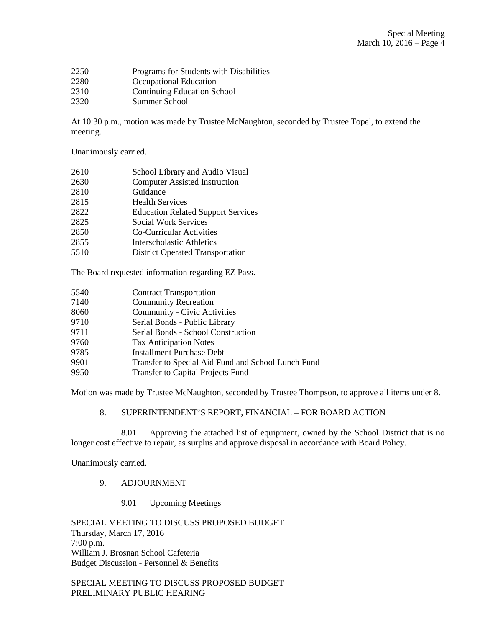- 2250 Programs for Students with Disabilities
- 2280 **Occupational Education**<br>2310 **Continuing Education Sc**
- **Continuing Education School**
- 2320 Summer School

At 10:30 p.m., motion was made by Trustee McNaughton, seconded by Trustee Topel, to extend the meeting.

Unanimously carried.

- 2610 School Library and Audio Visual
- 2630 Computer Assisted Instruction
- 2810 Guidance
- 2815 Health Services
- 2822 Education Related Support Services
- 2825 Social Work Services
- 2850 Co-Curricular Activities
- 2855 Interscholastic Athletics
- 5510 District Operated Transportation

The Board requested information regarding EZ Pass.

- 5540 Contract Transportation
- 7140 Community Recreation
- 8060 Community Civic Activities
- 9710 Serial Bonds Public Library
- 9711 Serial Bonds School Construction
- 9760 Tax Anticipation Notes
- 9785 Installment Purchase Debt
- 9901 Transfer to Special Aid Fund and School Lunch Fund
- 9950 Transfer to Capital Projects Fund

Motion was made by Trustee McNaughton, seconded by Trustee Thompson, to approve all items under 8.

## 8. SUPERINTENDENT'S REPORT, FINANCIAL – FOR BOARD ACTION

 8.01 Approving the attached list of equipment, owned by the School District that is no longer cost effective to repair, as surplus and approve disposal in accordance with Board Policy.

Unanimously carried.

## 9. ADJOURNMENT

9.01 Upcoming Meetings

SPECIAL MEETING TO DISCUSS PROPOSED BUDGET Thursday, March 17, 2016 7:00 p.m. William J. Brosnan School Cafeteria Budget Discussion - Personnel & Benefits

SPECIAL MEETING TO DISCUSS PROPOSED BUDGET PRELIMINARY PUBLIC HEARING